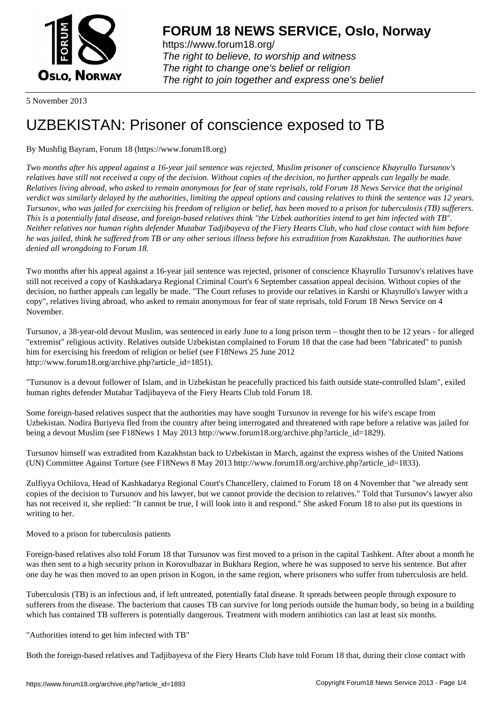

https://www.forum18.org/ The right to believe, to worship and witness The right to change one's belief or religion [The right to join together a](https://www.forum18.org/)nd express one's belief

5 November 2013

## [UZBEKISTAN:](https://www.forum18.org) Prisoner of conscience exposed to TB

## By Mushfig Bayram, Forum 18 (https://www.forum18.org)

*Two months after his appeal against a 16-year jail sentence was rejected, Muslim prisoner of conscience Khayrullo Tursunov's relatives have still not received a copy of the decision. Without copies of the decision, no further appeals can legally be made. Relatives living abroad, who asked to remain anonymous for fear of state reprisals, told Forum 18 News Service that the original verdict was similarly delayed by the authorities, limiting the appeal options and causing relatives to think the sentence was 12 years. Tursunov, who was jailed for exercising his freedom of religion or belief, has been moved to a prison for tuberculosis (TB) sufferers. This is a potentially fatal disease, and foreign-based relatives think "the Uzbek authorities intend to get him infected with TB". Neither relatives nor human rights defender Mutabar Tadjibayeva of the Fiery Hearts Club, who had close contact with him before he was jailed, think he suffered from TB or any other serious illness before his extradition from Kazakhstan. The authorities have denied all wrongdoing to Forum 18.*

Two months after his appeal against a 16-year jail sentence was rejected, prisoner of conscience Khayrullo Tursunov's relatives have still not received a copy of Kashkadarya Regional Criminal Court's 6 September cassation appeal decision. Without copies of the decision, no further appeals can legally be made. "The Court refuses to provide our relatives in Karshi or Khayrullo's lawyer with a copy", relatives living abroad, who asked to remain anonymous for fear of state reprisals, told Forum 18 News Service on 4 November.

Tursunov, a 38-year-old devout Muslim, was sentenced in early June to a long prison term – thought then to be 12 years - for alleged "extremist" religious activity. Relatives outside Uzbekistan complained to Forum 18 that the case had been "fabricated" to punish him for exercising his freedom of religion or belief (see F18News 25 June 2012 http://www.forum18.org/archive.php?article\_id=1851).

"Tursunov is a devout follower of Islam, and in Uzbekistan he peacefully practiced his faith outside state-controlled Islam", exiled human rights defender Mutabar Tadjibayeva of the Fiery Hearts Club told Forum 18.

Some foreign-based relatives suspect that the authorities may have sought Tursunov in revenge for his wife's escape from Uzbekistan. Nodira Buriyeva fled from the country after being interrogated and threatened with rape before a relative was jailed for being a devout Muslim (see F18News 1 May 2013 http://www.forum18.org/archive.php?article\_id=1829).

Tursunov himself was extradited from Kazakhstan back to Uzbekistan in March, against the express wishes of the United Nations (UN) Committee Against Torture (see F18News 8 May 2013 http://www.forum18.org/archive.php?article\_id=1833).

Zulfiyya Ochilova, Head of Kashkadarya Regional Court's Chancellery, claimed to Forum 18 on 4 November that "we already sent copies of the decision to Tursunov and his lawyer, but we cannot provide the decision to relatives." Told that Tursunov's lawyer also has not received it, she replied: "It cannot be true, I will look into it and respond." She asked Forum 18 to also put its questions in writing to her.

Moved to a prison for tuberculosis patients

Foreign-based relatives also told Forum 18 that Tursunov was first moved to a prison in the capital Tashkent. After about a month he was then sent to a high security prison in Korovulbazar in Bukhara Region, where he was supposed to serve his sentence. But after one day he was then moved to an open prison in Kogon, in the same region, where prisoners who suffer from tuberculosis are held.

Tuberculosis (TB) is an infectious and, if left untreated, potentially fatal disease. It spreads between people through exposure to sufferers from the disease. The bacterium that causes TB can survive for long periods outside the human body, so being in a building which has contained TB sufferers is potentially dangerous. Treatment with modern antibiotics can last at least six months.

"Authorities intend to get him infected with TB"

Both the foreign-based relatives and Tadjibayeva of the Fiery Hearts Club have told Forum 18 that, during their close contact with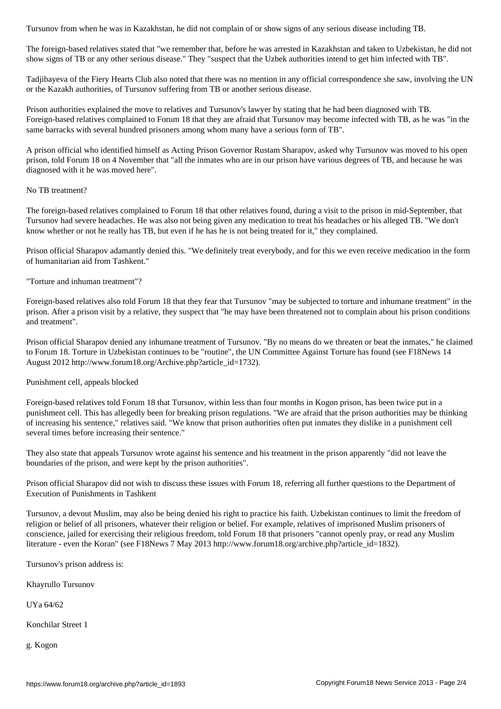The foreign-based relatives stated that "we remember that, before he was arrested in Kazakhstan and taken to Uzbekistan, he did not show signs of TB or any other serious disease." They "suspect that the Uzbek authorities intend to get him infected with TB".

Tadjibayeva of the Fiery Hearts Club also noted that there was no mention in any official correspondence she saw, involving the UN or the Kazakh authorities, of Tursunov suffering from TB or another serious disease.

Prison authorities explained the move to relatives and Tursunov's lawyer by stating that he had been diagnosed with TB. Foreign-based relatives complained to Forum 18 that they are afraid that Tursunov may become infected with TB, as he was "in the same barracks with several hundred prisoners among whom many have a serious form of TB".

A prison official who identified himself as Acting Prison Governor Rustam Sharapov, asked why Tursunov was moved to his open prison, told Forum 18 on 4 November that "all the inmates who are in our prison have various degrees of TB, and because he was diagnosed with it he was moved here".

No TB treatment?

The foreign-based relatives complained to Forum 18 that other relatives found, during a visit to the prison in mid-September, that Tursunov had severe headaches. He was also not being given any medication to treat his headaches or his alleged TB. "We don't know whether or not he really has TB, but even if he has he is not being treated for it," they complained.

Prison official Sharapov adamantly denied this. "We definitely treat everybody, and for this we even receive medication in the form of humanitarian aid from Tashkent."

"Torture and inhuman treatment"?

Foreign-based relatives also told Forum 18 that they fear that Tursunov "may be subjected to torture and inhumane treatment" in the prison. After a prison visit by a relative, they suspect that "he may have been threatened not to complain about his prison conditions and treatment".

Prison official Sharapov denied any inhumane treatment of Tursunov. "By no means do we threaten or beat the inmates," he claimed to Forum 18. Torture in Uzbekistan continues to be "routine", the UN Committee Against Torture has found (see F18News 14 August 2012 http://www.forum18.org/Archive.php?article\_id=1732).

Punishment cell, appeals blocked

Foreign-based relatives told Forum 18 that Tursunov, within less than four months in Kogon prison, has been twice put in a punishment cell. This has allegedly been for breaking prison regulations. "We are afraid that the prison authorities may be thinking of increasing his sentence," relatives said. "We know that prison authorities often put inmates they dislike in a punishment cell several times before increasing their sentence."

They also state that appeals Tursunov wrote against his sentence and his treatment in the prison apparently "did not leave the boundaries of the prison, and were kept by the prison authorities".

Prison official Sharapov did not wish to discuss these issues with Forum 18, referring all further questions to the Department of Execution of Punishments in Tashkent

Tursunov, a devout Muslim, may also be being denied his right to practice his faith. Uzbekistan continues to limit the freedom of religion or belief of all prisoners, whatever their religion or belief. For example, relatives of imprisoned Muslim prisoners of conscience, jailed for exercising their religious freedom, told Forum 18 that prisoners "cannot openly pray, or read any Muslim literature - even the Koran" (see F18News 7 May 2013 http://www.forum18.org/archive.php?article\_id=1832).

Tursunov's prison address is:

Khayrullo Tursunov

UYa 64/62

Konchilar Street 1

g. Kogon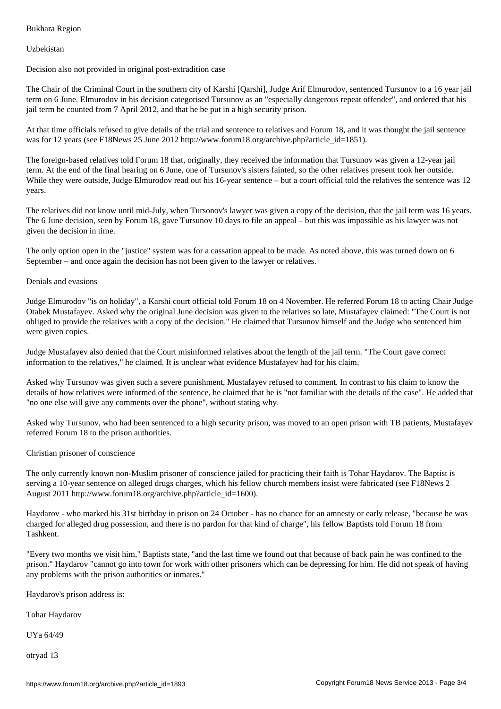Uzbekistan

Decision also not provided in original post-extradition case

The Chair of the Criminal Court in the southern city of Karshi [Qarshi], Judge Arif Elmurodov, sentenced Tursunov to a 16 year jail term on 6 June. Elmurodov in his decision categorised Tursunov as an "especially dangerous repeat offender", and ordered that his jail term be counted from 7 April 2012, and that he be put in a high security prison.

At that time officials refused to give details of the trial and sentence to relatives and Forum 18, and it was thought the jail sentence was for 12 years (see F18News 25 June 2012 http://www.forum18.org/archive.php?article\_id=1851).

The foreign-based relatives told Forum 18 that, originally, they received the information that Tursunov was given a 12-year jail term. At the end of the final hearing on 6 June, one of Tursunov's sisters fainted, so the other relatives present took her outside. While they were outside, Judge Elmurodov read out his 16-year sentence – but a court official told the relatives the sentence was 12 years.

The relatives did not know until mid-July, when Tursonov's lawyer was given a copy of the decision, that the jail term was 16 years. The 6 June decision, seen by Forum 18, gave Tursunov 10 days to file an appeal – but this was impossible as his lawyer was not given the decision in time.

The only option open in the "justice" system was for a cassation appeal to be made. As noted above, this was turned down on 6 September – and once again the decision has not been given to the lawyer or relatives.

## Denials and evasions

Judge Elmurodov "is on holiday", a Karshi court official told Forum 18 on 4 November. He referred Forum 18 to acting Chair Judge Otabek Mustafayev. Asked why the original June decision was given to the relatives so late, Mustafayev claimed: "The Court is not obliged to provide the relatives with a copy of the decision." He claimed that Tursunov himself and the Judge who sentenced him were given copies.

Judge Mustafayev also denied that the Court misinformed relatives about the length of the jail term. "The Court gave correct information to the relatives," he claimed. It is unclear what evidence Mustafayev had for his claim.

Asked why Tursunov was given such a severe punishment, Mustafayev refused to comment. In contrast to his claim to know the details of how relatives were informed of the sentence, he claimed that he is "not familiar with the details of the case". He added that "no one else will give any comments over the phone", without stating why.

Asked why Tursunov, who had been sentenced to a high security prison, was moved to an open prison with TB patients, Mustafayev referred Forum 18 to the prison authorities.

Christian prisoner of conscience

The only currently known non-Muslim prisoner of conscience jailed for practicing their faith is Tohar Haydarov. The Baptist is serving a 10-year sentence on alleged drugs charges, which his fellow church members insist were fabricated (see F18News 2 August 2011 http://www.forum18.org/archive.php?article\_id=1600).

Haydarov - who marked his 31st birthday in prison on 24 October - has no chance for an amnesty or early release, "because he was charged for alleged drug possession, and there is no pardon for that kind of charge", his fellow Baptists told Forum 18 from Tashkent.

"Every two months we visit him," Baptists state, "and the last time we found out that because of back pain he was confined to the prison." Haydarov "cannot go into town for work with other prisoners which can be depressing for him. He did not speak of having any problems with the prison authorities or inmates."

Haydarov's prison address is:

Tohar Haydarov

UYa 64/49

otryad 13